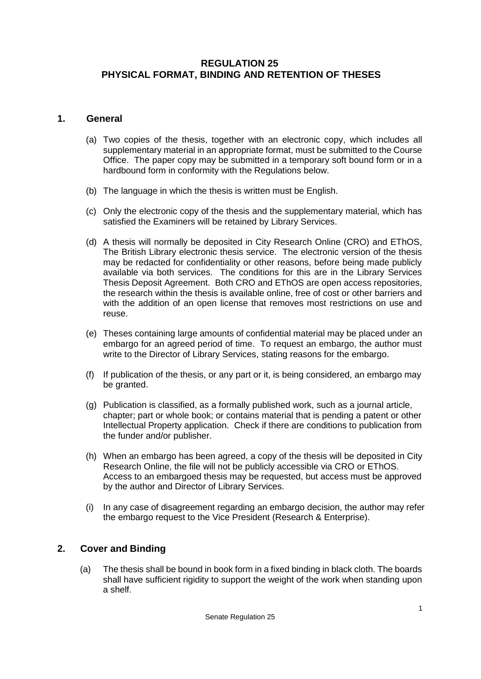### **REGULATION 25 PHYSICAL FORMAT, BINDING AND RETENTION OF THESES**

#### **1. General**

- (a) Two copies of the thesis, together with an electronic copy, which includes all supplementary material in an appropriate format, must be submitted to the Course Office. The paper copy may be submitted in a temporary soft bound form or in a hardbound form in conformity with the Regulations below.
- (b) The language in which the thesis is written must be English.
- (c) Only the electronic copy of the thesis and the supplementary material, which has satisfied the Examiners will be retained by Library Services.
- (d) A thesis will normally be deposited in City Research Online (CRO) and EThOS, The British Library electronic thesis service. The electronic version of the thesis may be redacted for confidentiality or other reasons, before being made publicly available via both services. The conditions for this are in the Library Services Thesis Deposit Agreement. Both CRO and EThOS are open access repositories, the research within the thesis is available online, free of cost or other barriers and with the addition of an open license that removes most restrictions on use and reuse.
- (e) Theses containing large amounts of confidential material may be placed under an embargo for an agreed period of time. To request an embargo, the author must write to the Director of Library Services, stating reasons for the embargo.
- (f) If publication of the thesis, or any part or it, is being considered, an embargo may be granted.
- (g) Publication is classified, as a formally published work, such as a journal article, chapter; part or whole book; or contains material that is pending a patent or other Intellectual Property application. Check if there are conditions to publication from the funder and/or publisher.
- (h) When an embargo has been agreed, a copy of the thesis will be deposited in City Research Online, the file will not be publicly accessible via CRO or EThOS. Access to an embargoed thesis may be requested, but access must be approved by the author and Director of Library Services.
- (i) In any case of disagreement regarding an embargo decision, the author may refer the embargo request to the Vice President (Research & Enterprise).

### **2. Cover and Binding**

(a) The thesis shall be bound in book form in a fixed binding in black cloth. The boards shall have sufficient rigidity to support the weight of the work when standing upon a shelf.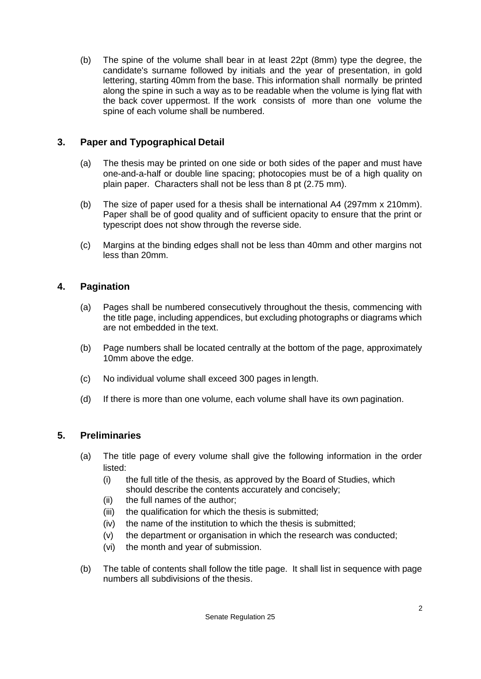(b) The spine of the volume shall bear in at least 22pt (8mm) type the degree, the candidate's surname followed by initials and the year of presentation, in gold lettering, starting 40mm from the base. This information shall normally be printed along the spine in such a way as to be readable when the volume is lying flat with the back cover uppermost. If the work consists of more than one volume the spine of each volume shall be numbered.

# **3. Paper and Typographical Detail**

- (a) The thesis may be printed on one side or both sides of the paper and must have one-and-a-half or double line spacing; photocopies must be of a high quality on plain paper. Characters shall not be less than 8 pt (2.75 mm).
- (b) The size of paper used for a thesis shall be international A4 (297mm x 210mm). Paper shall be of good quality and of sufficient opacity to ensure that the print or typescript does not show through the reverse side.
- (c) Margins at the binding edges shall not be less than 40mm and other margins not less than 20mm.

## **4. Pagination**

- (a) Pages shall be numbered consecutively throughout the thesis, commencing with the title page, including appendices, but excluding photographs or diagrams which are not embedded in the text.
- (b) Page numbers shall be located centrally at the bottom of the page, approximately 10mm above the edge.
- (c) No individual volume shall exceed 300 pages in length.
- (d) If there is more than one volume, each volume shall have its own pagination.

## **5. Preliminaries**

- (a) The title page of every volume shall give the following information in the order listed:
	- (i) the full title of the thesis, as approved by the Board of Studies, which should describe the contents accurately and concisely;
	- (ii) the full names of the author;
	- (iii) the qualification for which the thesis is submitted;
	- (iv) the name of the institution to which the thesis is submitted;
	- (v) the department or organisation in which the research was conducted;
	- (vi) the month and year of submission.
- (b) The table of contents shall follow the title page. It shall list in sequence with page numbers all subdivisions of the thesis.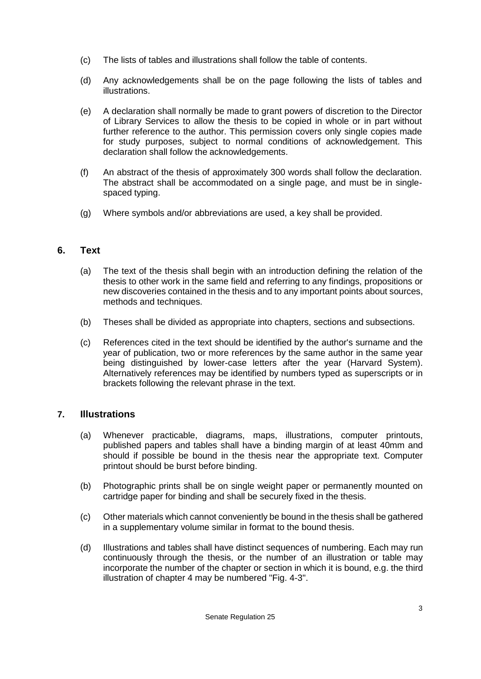- (c) The lists of tables and illustrations shall follow the table of contents.
- (d) Any acknowledgements shall be on the page following the lists of tables and illustrations.
- (e) A declaration shall normally be made to grant powers of discretion to the Director of Library Services to allow the thesis to be copied in whole or in part without further reference to the author. This permission covers only single copies made for study purposes, subject to normal conditions of acknowledgement. This declaration shall follow the acknowledgements.
- (f) An abstract of the thesis of approximately 300 words shall follow the declaration. The abstract shall be accommodated on a single page, and must be in singlespaced typing.
- (g) Where symbols and/or abbreviations are used, a key shall be provided.

### **6. Text**

- (a) The text of the thesis shall begin with an introduction defining the relation of the thesis to other work in the same field and referring to any findings, propositions or new discoveries contained in the thesis and to any important points about sources, methods and techniques.
- (b) Theses shall be divided as appropriate into chapters, sections and subsections.
- (c) References cited in the text should be identified by the author's surname and the year of publication, two or more references by the same author in the same year being distinguished by lower-case letters after the year (Harvard System). Alternatively references may be identified by numbers typed as superscripts or in brackets following the relevant phrase in the text.

### **7. Illustrations**

- (a) Whenever practicable, diagrams, maps, illustrations, computer printouts, published papers and tables shall have a binding margin of at least 40mm and should if possible be bound in the thesis near the appropriate text. Computer printout should be burst before binding.
- (b) Photographic prints shall be on single weight paper or permanently mounted on cartridge paper for binding and shall be securely fixed in the thesis.
- (c) Other materials which cannot conveniently be bound in the thesis shall be gathered in a supplementary volume similar in format to the bound thesis.
- (d) Illustrations and tables shall have distinct sequences of numbering. Each may run continuously through the thesis, or the number of an illustration or table may incorporate the number of the chapter or section in which it is bound, e.g. the third illustration of chapter 4 may be numbered "Fig. 4-3".